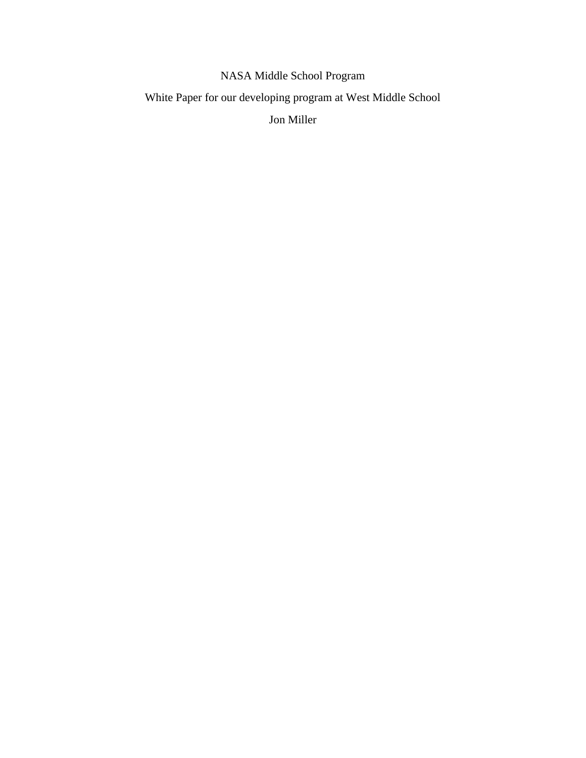NASA Middle School Program

White Paper for our developing program at West Middle School

Jon Miller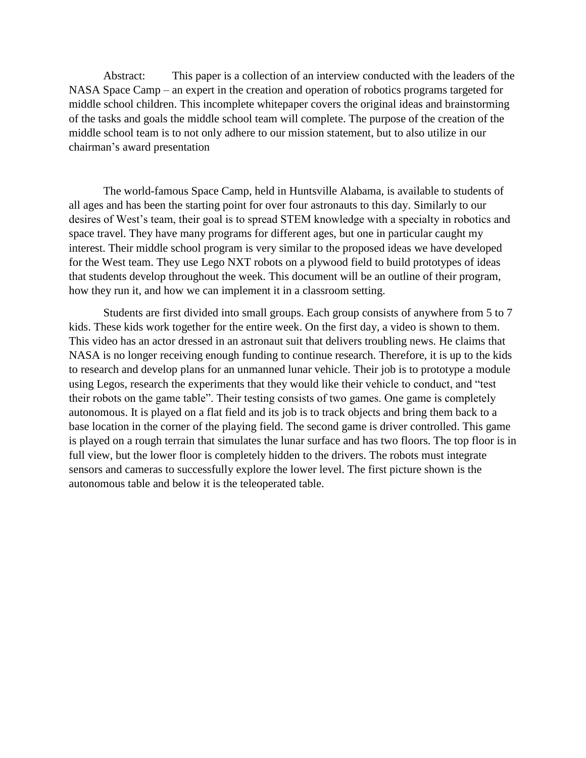Abstract: This paper is a collection of an interview conducted with the leaders of the NASA Space Camp – an expert in the creation and operation of robotics programs targeted for middle school children. This incomplete whitepaper covers the original ideas and brainstorming of the tasks and goals the middle school team will complete. The purpose of the creation of the middle school team is to not only adhere to our mission statement, but to also utilize in our chairman's award presentation

The world-famous Space Camp, held in Huntsville Alabama, is available to students of all ages and has been the starting point for over four astronauts to this day. Similarly to our desires of West's team, their goal is to spread STEM knowledge with a specialty in robotics and space travel. They have many programs for different ages, but one in particular caught my interest. Their middle school program is very similar to the proposed ideas we have developed for the West team. They use Lego NXT robots on a plywood field to build prototypes of ideas that students develop throughout the week. This document will be an outline of their program, how they run it, and how we can implement it in a classroom setting.

Students are first divided into small groups. Each group consists of anywhere from 5 to 7 kids. These kids work together for the entire week. On the first day, a video is shown to them. This video has an actor dressed in an astronaut suit that delivers troubling news. He claims that NASA is no longer receiving enough funding to continue research. Therefore, it is up to the kids to research and develop plans for an unmanned lunar vehicle. Their job is to prototype a module using Legos, research the experiments that they would like their vehicle to conduct, and "test their robots on the game table". Their testing consists of two games. One game is completely autonomous. It is played on a flat field and its job is to track objects and bring them back to a base location in the corner of the playing field. The second game is driver controlled. This game is played on a rough terrain that simulates the lunar surface and has two floors. The top floor is in full view, but the lower floor is completely hidden to the drivers. The robots must integrate sensors and cameras to successfully explore the lower level. The first picture shown is the autonomous table and below it is the teleoperated table.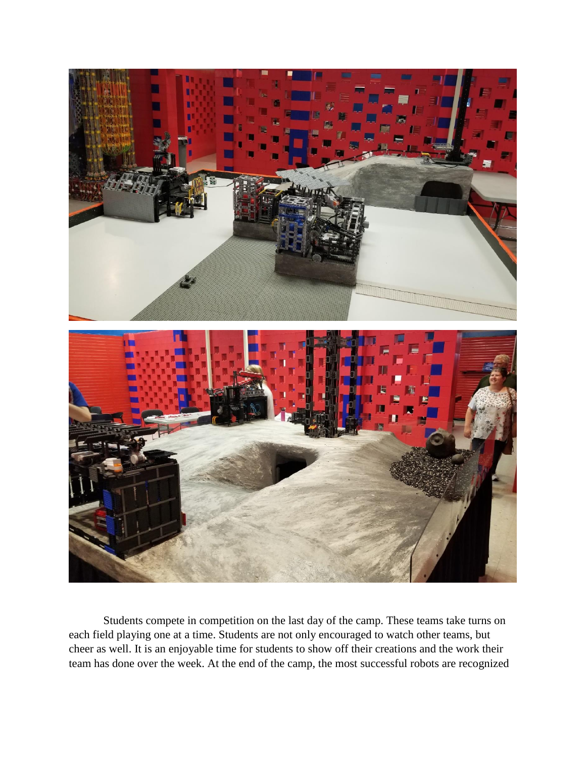

Students compete in competition on the last day of the camp. These teams take turns on each field playing one at a time. Students are not only encouraged to watch other teams, but cheer as well. It is an enjoyable time for students to show off their creations and the work their team has done over the week. At the end of the camp, the most successful robots are recognized